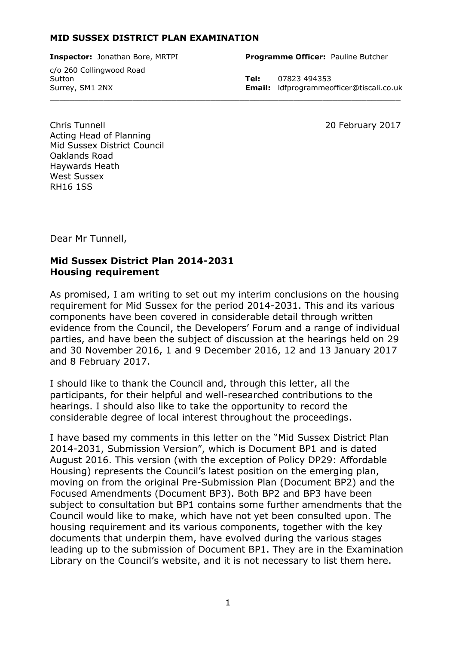#### **MID SUSSEX DISTRICT PLAN EXAMINATION**

c/o 260 Collingwood Road Sutton **Tel:** 07823 494353  $\_$  , and the set of the set of the set of the set of the set of the set of the set of the set of the set of the set of the set of the set of the set of the set of the set of the set of the set of the set of the set of th

**Inspector:** Jonathan Bore, MRTPI **Programme Officer:** Pauline Butcher

Surrey, SM1 2NX **Email:** ldfprogrammeofficer@tiscali.co.uk

Chris Tunnell 20 February 2017 Acting Head of Planning Mid Sussex District Council Oaklands Road Haywards Heath West Sussex RH16 1SS

Dear Mr Tunnell,

#### **Mid Sussex District Plan 2014-2031 Housing requirement**

As promised, I am writing to set out my interim conclusions on the housing requirement for Mid Sussex for the period 2014-2031. This and its various components have been covered in considerable detail through written evidence from the Council, the Developers' Forum and a range of individual parties, and have been the subject of discussion at the hearings held on 29 and 30 November 2016, 1 and 9 December 2016, 12 and 13 January 2017 and 8 February 2017.

I should like to thank the Council and, through this letter, all the participants, for their helpful and well-researched contributions to the hearings. I should also like to take the opportunity to record the considerable degree of local interest throughout the proceedings.

I have based my comments in this letter on the "Mid Sussex District Plan 2014-2031, Submission Version", which is Document BP1 and is dated August 2016. This version (with the exception of Policy DP29: Affordable Housing) represents the Council's latest position on the emerging plan, moving on from the original Pre-Submission Plan (Document BP2) and the Focused Amendments (Document BP3). Both BP2 and BP3 have been subject to consultation but BP1 contains some further amendments that the Council would like to make, which have not yet been consulted upon. The housing requirement and its various components, together with the key documents that underpin them, have evolved during the various stages leading up to the submission of Document BP1. They are in the Examination Library on the Council's website, and it is not necessary to list them here.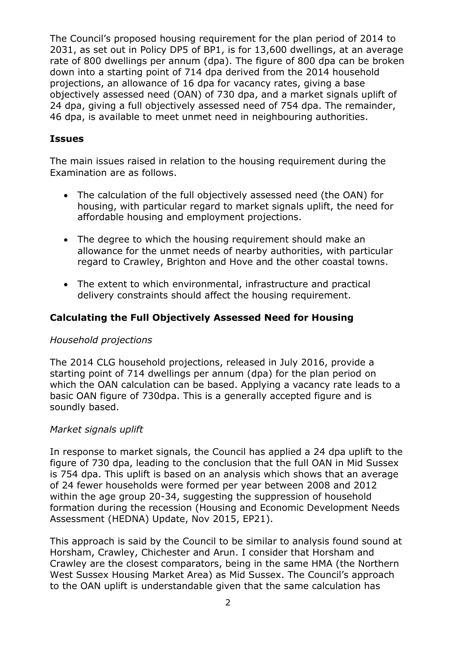The Council's proposed housing requirement for the plan period of 2014 to 2031, as set out in Policy DP5 of BP1, is for 13,600 dwellings, at an average rate of 800 dwellings per annum (dpa). The figure of 800 dpa can be broken down into a starting point of 714 dpa derived from the 2014 household projections, an allowance of 16 dpa for vacancy rates, giving a base objectively assessed need (OAN) of 730 dpa, and a market signals uplift of 24 dpa, giving a full objectively assessed need of 754 dpa. The remainder, 46 dpa, is available to meet unmet need in neighbouring authorities.

### **Issues**

The main issues raised in relation to the housing requirement during the Examination are as follows.

- The calculation of the full objectively assessed need (the OAN) for housing, with particular regard to market signals uplift, the need for affordable housing and employment projections.
- The degree to which the housing requirement should make an allowance for the unmet needs of nearby authorities, with particular regard to Crawley, Brighton and Hove and the other coastal towns.
- The extent to which environmental, infrastructure and practical delivery constraints should affect the housing requirement.

## **Calculating the Full Objectively Assessed Need for Housing**

#### *Household projections*

The 2014 CLG household projections, released in July 2016, provide a starting point of 714 dwellings per annum (dpa) for the plan period on which the OAN calculation can be based. Applying a vacancy rate leads to a basic OAN figure of 730dpa. This is a generally accepted figure and is soundly based.

#### *Market signals uplift*

In response to market signals, the Council has applied a 24 dpa uplift to the figure of 730 dpa, leading to the conclusion that the full OAN in Mid Sussex is 754 dpa. This uplift is based on an analysis which shows that an average of 24 fewer households were formed per year between 2008 and 2012 within the age group 20-34, suggesting the suppression of household formation during the recession (Housing and Economic Development Needs Assessment (HEDNA) Update, Nov 2015, EP21).

This approach is said by the Council to be similar to analysis found sound at Horsham, Crawley, Chichester and Arun. I consider that Horsham and Crawley are the closest comparators, being in the same HMA (the Northern West Sussex Housing Market Area) as Mid Sussex. The Council's approach to the OAN uplift is understandable given that the same calculation has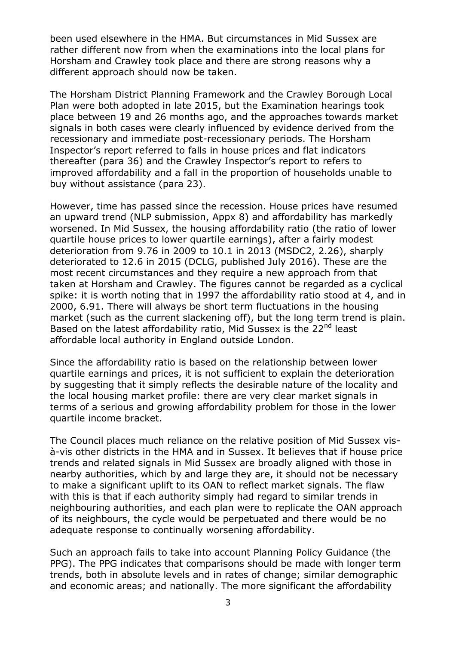been used elsewhere in the HMA. But circumstances in Mid Sussex are rather different now from when the examinations into the local plans for Horsham and Crawley took place and there are strong reasons why a different approach should now be taken.

The Horsham District Planning Framework and the Crawley Borough Local Plan were both adopted in late 2015, but the Examination hearings took place between 19 and 26 months ago, and the approaches towards market signals in both cases were clearly influenced by evidence derived from the recessionary and immediate post-recessionary periods. The Horsham Inspector's report referred to falls in house prices and flat indicators thereafter (para 36) and the Crawley Inspector's report to refers to improved affordability and a fall in the proportion of households unable to buy without assistance (para 23).

However, time has passed since the recession. House prices have resumed an upward trend (NLP submission, Appx 8) and affordability has markedly worsened. In Mid Sussex, the housing affordability ratio (the ratio of lower quartile house prices to lower quartile earnings), after a fairly modest deterioration from 9.76 in 2009 to 10.1 in 2013 (MSDC2, 2.26), sharply deteriorated to 12.6 in 2015 (DCLG, published July 2016). These are the most recent circumstances and they require a new approach from that taken at Horsham and Crawley. The figures cannot be regarded as a cyclical spike: it is worth noting that in 1997 the affordability ratio stood at 4, and in 2000, 6.91. There will always be short term fluctuations in the housing market (such as the current slackening off), but the long term trend is plain. Based on the latest affordability ratio, Mid Sussex is the 22<sup>nd</sup> least affordable local authority in England outside London.

Since the affordability ratio is based on the relationship between lower quartile earnings and prices, it is not sufficient to explain the deterioration by suggesting that it simply reflects the desirable nature of the locality and the local housing market profile: there are very clear market signals in terms of a serious and growing affordability problem for those in the lower quartile income bracket.

The Council places much reliance on the relative position of Mid Sussex visà-vis other districts in the HMA and in Sussex. It believes that if house price trends and related signals in Mid Sussex are broadly aligned with those in nearby authorities, which by and large they are, it should not be necessary to make a significant uplift to its OAN to reflect market signals. The flaw with this is that if each authority simply had regard to similar trends in neighbouring authorities, and each plan were to replicate the OAN approach of its neighbours, the cycle would be perpetuated and there would be no adequate response to continually worsening affordability.

Such an approach fails to take into account Planning Policy Guidance (the PPG). The PPG indicates that comparisons should be made with longer term trends, both in absolute levels and in rates of change; similar demographic and economic areas; and nationally. The more significant the affordability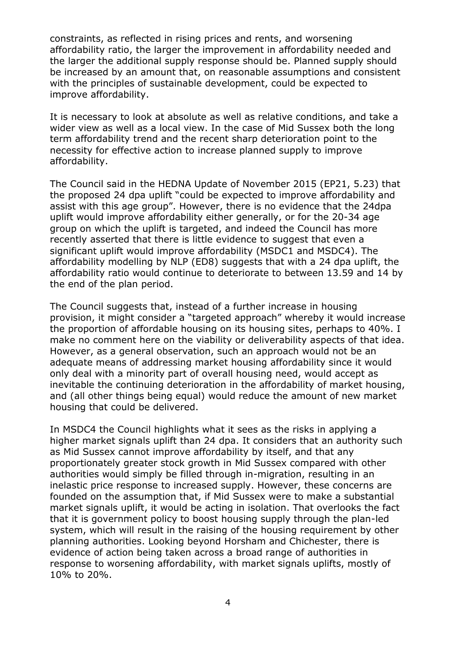constraints, as reflected in rising prices and rents, and worsening affordability ratio, the larger the improvement in affordability needed and the larger the additional supply response should be. Planned supply should be increased by an amount that, on reasonable assumptions and consistent with the principles of sustainable development, could be expected to improve affordability.

It is necessary to look at absolute as well as relative conditions, and take a wider view as well as a local view. In the case of Mid Sussex both the long term affordability trend and the recent sharp deterioration point to the necessity for effective action to increase planned supply to improve affordability.

The Council said in the HEDNA Update of November 2015 (EP21, 5.23) that the proposed 24 dpa uplift "could be expected to improve affordability and assist with this age group". However, there is no evidence that the 24dpa uplift would improve affordability either generally, or for the 20-34 age group on which the uplift is targeted, and indeed the Council has more recently asserted that there is little evidence to suggest that even a significant uplift would improve affordability (MSDC1 and MSDC4). The affordability modelling by NLP (ED8) suggests that with a 24 dpa uplift, the affordability ratio would continue to deteriorate to between 13.59 and 14 by the end of the plan period.

The Council suggests that, instead of a further increase in housing provision, it might consider a "targeted approach" whereby it would increase the proportion of affordable housing on its housing sites, perhaps to 40%. I make no comment here on the viability or deliverability aspects of that idea. However, as a general observation, such an approach would not be an adequate means of addressing market housing affordability since it would only deal with a minority part of overall housing need, would accept as inevitable the continuing deterioration in the affordability of market housing, and (all other things being equal) would reduce the amount of new market housing that could be delivered.

In MSDC4 the Council highlights what it sees as the risks in applying a higher market signals uplift than 24 dpa. It considers that an authority such as Mid Sussex cannot improve affordability by itself, and that any proportionately greater stock growth in Mid Sussex compared with other authorities would simply be filled through in-migration, resulting in an inelastic price response to increased supply. However, these concerns are founded on the assumption that, if Mid Sussex were to make a substantial market signals uplift, it would be acting in isolation. That overlooks the fact that it is government policy to boost housing supply through the plan-led system, which will result in the raising of the housing requirement by other planning authorities. Looking beyond Horsham and Chichester, there is evidence of action being taken across a broad range of authorities in response to worsening affordability, with market signals uplifts, mostly of 10% to 20%.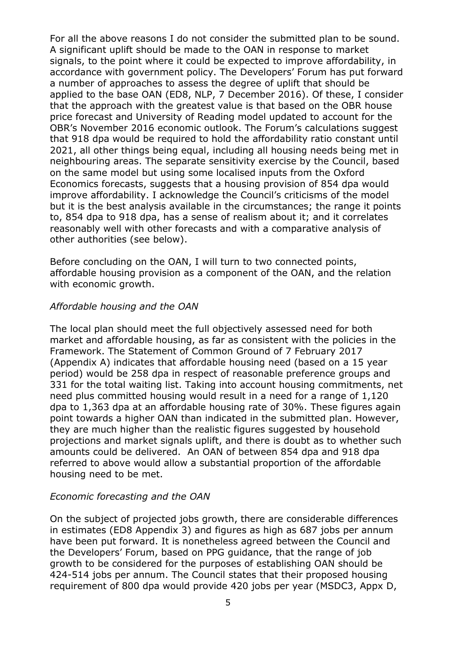For all the above reasons I do not consider the submitted plan to be sound. A significant uplift should be made to the OAN in response to market signals, to the point where it could be expected to improve affordability, in accordance with government policy. The Developers' Forum has put forward a number of approaches to assess the degree of uplift that should be applied to the base OAN (ED8, NLP, 7 December 2016). Of these, I consider that the approach with the greatest value is that based on the OBR house price forecast and University of Reading model updated to account for the OBR's November 2016 economic outlook. The Forum's calculations suggest that 918 dpa would be required to hold the affordability ratio constant until 2021, all other things being equal, including all housing needs being met in neighbouring areas. The separate sensitivity exercise by the Council, based on the same model but using some localised inputs from the Oxford Economics forecasts, suggests that a housing provision of 854 dpa would improve affordability. I acknowledge the Council's criticisms of the model but it is the best analysis available in the circumstances; the range it points to, 854 dpa to 918 dpa, has a sense of realism about it; and it correlates reasonably well with other forecasts and with a comparative analysis of other authorities (see below).

Before concluding on the OAN, I will turn to two connected points, affordable housing provision as a component of the OAN, and the relation with economic growth.

#### *Affordable housing and the OAN*

The local plan should meet the full objectively assessed need for both market and affordable housing, as far as consistent with the policies in the Framework. The Statement of Common Ground of 7 February 2017 (Appendix A) indicates that affordable housing need (based on a 15 year period) would be 258 dpa in respect of reasonable preference groups and 331 for the total waiting list. Taking into account housing commitments, net need plus committed housing would result in a need for a range of 1,120 dpa to 1,363 dpa at an affordable housing rate of 30%. These figures again point towards a higher OAN than indicated in the submitted plan. However, they are much higher than the realistic figures suggested by household projections and market signals uplift, and there is doubt as to whether such amounts could be delivered. An OAN of between 854 dpa and 918 dpa referred to above would allow a substantial proportion of the affordable housing need to be met.

#### *Economic forecasting and the OAN*

On the subject of projected jobs growth, there are considerable differences in estimates (ED8 Appendix 3) and figures as high as 687 jobs per annum have been put forward. It is nonetheless agreed between the Council and the Developers' Forum, based on PPG guidance, that the range of job growth to be considered for the purposes of establishing OAN should be 424-514 jobs per annum. The Council states that their proposed housing requirement of 800 dpa would provide 420 jobs per year (MSDC3, Appx D,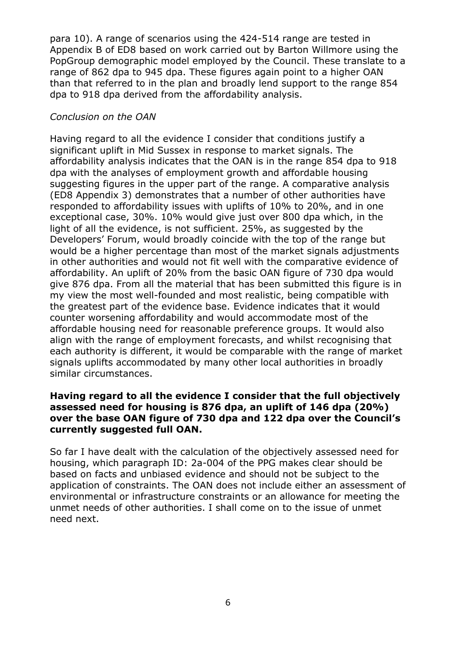para 10). A range of scenarios using the 424-514 range are tested in Appendix B of ED8 based on work carried out by Barton Willmore using the PopGroup demographic model employed by the Council. These translate to a range of 862 dpa to 945 dpa. These figures again point to a higher OAN than that referred to in the plan and broadly lend support to the range 854 dpa to 918 dpa derived from the affordability analysis.

### *Conclusion on the OAN*

Having regard to all the evidence I consider that conditions justify a significant uplift in Mid Sussex in response to market signals. The affordability analysis indicates that the OAN is in the range 854 dpa to 918 dpa with the analyses of employment growth and affordable housing suggesting figures in the upper part of the range. A comparative analysis (ED8 Appendix 3) demonstrates that a number of other authorities have responded to affordability issues with uplifts of 10% to 20%, and in one exceptional case, 30%. 10% would give just over 800 dpa which, in the light of all the evidence, is not sufficient. 25%, as suggested by the Developers' Forum, would broadly coincide with the top of the range but would be a higher percentage than most of the market signals adjustments in other authorities and would not fit well with the comparative evidence of affordability. An uplift of 20% from the basic OAN figure of 730 dpa would give 876 dpa. From all the material that has been submitted this figure is in my view the most well-founded and most realistic, being compatible with the greatest part of the evidence base. Evidence indicates that it would counter worsening affordability and would accommodate most of the affordable housing need for reasonable preference groups. It would also align with the range of employment forecasts, and whilst recognising that each authority is different, it would be comparable with the range of market signals uplifts accommodated by many other local authorities in broadly similar circumstances.

#### **Having regard to all the evidence I consider that the full objectively assessed need for housing is 876 dpa, an uplift of 146 dpa (20%) over the base OAN figure of 730 dpa and 122 dpa over the Council's currently suggested full OAN.**

So far I have dealt with the calculation of the objectively assessed need for housing, which paragraph ID: 2a-004 of the PPG makes clear should be based on facts and unbiased evidence and should not be subject to the application of constraints. The OAN does not include either an assessment of environmental or infrastructure constraints or an allowance for meeting the unmet needs of other authorities. I shall come on to the issue of unmet need next.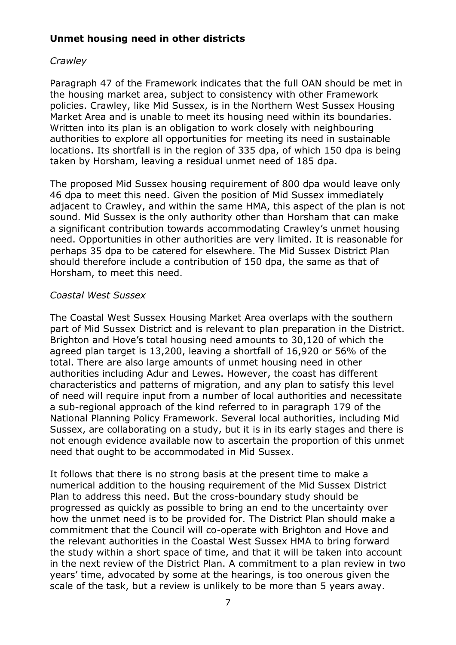## **Unmet housing need in other districts**

### *Crawley*

Paragraph 47 of the Framework indicates that the full OAN should be met in the housing market area, subject to consistency with other Framework policies. Crawley, like Mid Sussex, is in the Northern West Sussex Housing Market Area and is unable to meet its housing need within its boundaries. Written into its plan is an obligation to work closely with neighbouring authorities to explore all opportunities for meeting its need in sustainable locations. Its shortfall is in the region of 335 dpa, of which 150 dpa is being taken by Horsham, leaving a residual unmet need of 185 dpa.

The proposed Mid Sussex housing requirement of 800 dpa would leave only 46 dpa to meet this need. Given the position of Mid Sussex immediately adjacent to Crawley, and within the same HMA, this aspect of the plan is not sound. Mid Sussex is the only authority other than Horsham that can make a significant contribution towards accommodating Crawley's unmet housing need. Opportunities in other authorities are very limited. It is reasonable for perhaps 35 dpa to be catered for elsewhere. The Mid Sussex District Plan should therefore include a contribution of 150 dpa, the same as that of Horsham, to meet this need.

#### *Coastal West Sussex*

The Coastal West Sussex Housing Market Area overlaps with the southern part of Mid Sussex District and is relevant to plan preparation in the District. Brighton and Hove's total housing need amounts to 30,120 of which the agreed plan target is 13,200, leaving a shortfall of 16,920 or 56% of the total. There are also large amounts of unmet housing need in other authorities including Adur and Lewes. However, the coast has different characteristics and patterns of migration, and any plan to satisfy this level of need will require input from a number of local authorities and necessitate a sub-regional approach of the kind referred to in paragraph 179 of the National Planning Policy Framework. Several local authorities, including Mid Sussex, are collaborating on a study, but it is in its early stages and there is not enough evidence available now to ascertain the proportion of this unmet need that ought to be accommodated in Mid Sussex.

It follows that there is no strong basis at the present time to make a numerical addition to the housing requirement of the Mid Sussex District Plan to address this need. But the cross-boundary study should be progressed as quickly as possible to bring an end to the uncertainty over how the unmet need is to be provided for. The District Plan should make a commitment that the Council will co-operate with Brighton and Hove and the relevant authorities in the Coastal West Sussex HMA to bring forward the study within a short space of time, and that it will be taken into account in the next review of the District Plan. A commitment to a plan review in two years' time, advocated by some at the hearings, is too onerous given the scale of the task, but a review is unlikely to be more than 5 years away.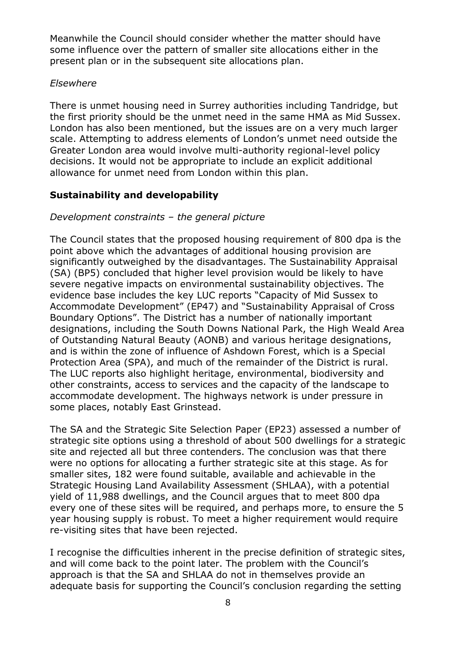Meanwhile the Council should consider whether the matter should have some influence over the pattern of smaller site allocations either in the present plan or in the subsequent site allocations plan.

### *Elsewhere*

There is unmet housing need in Surrey authorities including Tandridge, but the first priority should be the unmet need in the same HMA as Mid Sussex. London has also been mentioned, but the issues are on a very much larger scale. Attempting to address elements of London's unmet need outside the Greater London area would involve multi-authority regional-level policy decisions. It would not be appropriate to include an explicit additional allowance for unmet need from London within this plan.

# **Sustainability and developability**

# *Development constraints – the general picture*

The Council states that the proposed housing requirement of 800 dpa is the point above which the advantages of additional housing provision are significantly outweighed by the disadvantages. The Sustainability Appraisal (SA) (BP5) concluded that higher level provision would be likely to have severe negative impacts on environmental sustainability objectives. The evidence base includes the key LUC reports "Capacity of Mid Sussex to Accommodate Development" (EP47) and "Sustainability Appraisal of Cross Boundary Options". The District has a number of nationally important designations, including the South Downs National Park, the High Weald Area of Outstanding Natural Beauty (AONB) and various heritage designations, and is within the zone of influence of Ashdown Forest, which is a Special Protection Area (SPA), and much of the remainder of the District is rural. The LUC reports also highlight heritage, environmental, biodiversity and other constraints, access to services and the capacity of the landscape to accommodate development. The highways network is under pressure in some places, notably East Grinstead.

The SA and the Strategic Site Selection Paper (EP23) assessed a number of strategic site options using a threshold of about 500 dwellings for a strategic site and rejected all but three contenders. The conclusion was that there were no options for allocating a further strategic site at this stage. As for smaller sites, 182 were found suitable, available and achievable in the Strategic Housing Land Availability Assessment (SHLAA), with a potential yield of 11,988 dwellings, and the Council argues that to meet 800 dpa every one of these sites will be required, and perhaps more, to ensure the 5 year housing supply is robust. To meet a higher requirement would require re-visiting sites that have been rejected.

I recognise the difficulties inherent in the precise definition of strategic sites, and will come back to the point later. The problem with the Council's approach is that the SA and SHLAA do not in themselves provide an adequate basis for supporting the Council's conclusion regarding the setting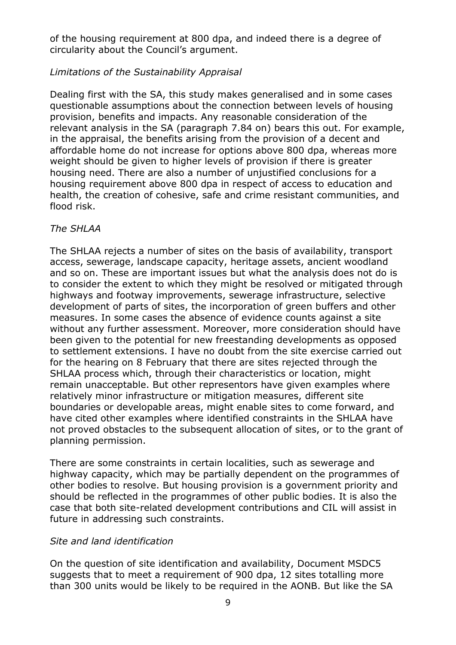of the housing requirement at 800 dpa, and indeed there is a degree of circularity about the Council's argument.

## *Limitations of the Sustainability Appraisal*

Dealing first with the SA, this study makes generalised and in some cases questionable assumptions about the connection between levels of housing provision, benefits and impacts. Any reasonable consideration of the relevant analysis in the SA (paragraph 7.84 on) bears this out. For example, in the appraisal, the benefits arising from the provision of a decent and affordable home do not increase for options above 800 dpa, whereas more weight should be given to higher levels of provision if there is greater housing need. There are also a number of unjustified conclusions for a housing requirement above 800 dpa in respect of access to education and health, the creation of cohesive, safe and crime resistant communities, and flood risk.

### *The SHLAA*

The SHLAA rejects a number of sites on the basis of availability, transport access, sewerage, landscape capacity, heritage assets, ancient woodland and so on. These are important issues but what the analysis does not do is to consider the extent to which they might be resolved or mitigated through highways and footway improvements, sewerage infrastructure, selective development of parts of sites, the incorporation of green buffers and other measures. In some cases the absence of evidence counts against a site without any further assessment. Moreover, more consideration should have been given to the potential for new freestanding developments as opposed to settlement extensions. I have no doubt from the site exercise carried out for the hearing on 8 February that there are sites rejected through the SHLAA process which, through their characteristics or location, might remain unacceptable. But other representors have given examples where relatively minor infrastructure or mitigation measures, different site boundaries or developable areas, might enable sites to come forward, and have cited other examples where identified constraints in the SHLAA have not proved obstacles to the subsequent allocation of sites, or to the grant of planning permission.

There are some constraints in certain localities, such as sewerage and highway capacity, which may be partially dependent on the programmes of other bodies to resolve. But housing provision is a government priority and should be reflected in the programmes of other public bodies. It is also the case that both site-related development contributions and CIL will assist in future in addressing such constraints.

## *Site and land identification*

On the question of site identification and availability, Document MSDC5 suggests that to meet a requirement of 900 dpa, 12 sites totalling more than 300 units would be likely to be required in the AONB. But like the SA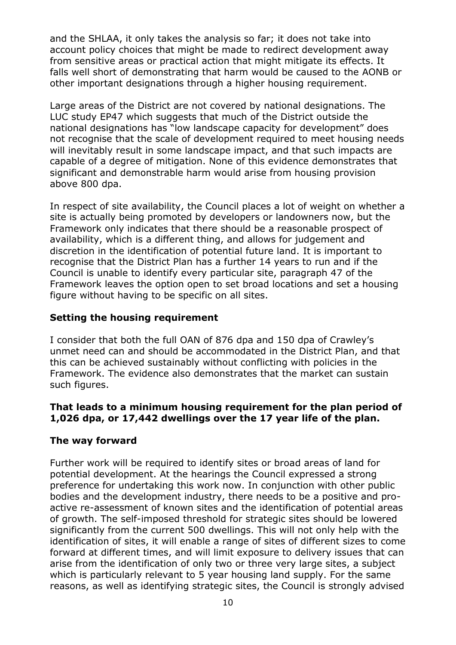and the SHLAA, it only takes the analysis so far; it does not take into account policy choices that might be made to redirect development away from sensitive areas or practical action that might mitigate its effects. It falls well short of demonstrating that harm would be caused to the AONB or other important designations through a higher housing requirement.

Large areas of the District are not covered by national designations. The LUC study EP47 which suggests that much of the District outside the national designations has "low landscape capacity for development" does not recognise that the scale of development required to meet housing needs will inevitably result in some landscape impact, and that such impacts are capable of a degree of mitigation. None of this evidence demonstrates that significant and demonstrable harm would arise from housing provision above 800 dpa.

In respect of site availability, the Council places a lot of weight on whether a site is actually being promoted by developers or landowners now, but the Framework only indicates that there should be a reasonable prospect of availability, which is a different thing, and allows for judgement and discretion in the identification of potential future land. It is important to recognise that the District Plan has a further 14 years to run and if the Council is unable to identify every particular site, paragraph 47 of the Framework leaves the option open to set broad locations and set a housing figure without having to be specific on all sites.

### **Setting the housing requirement**

I consider that both the full OAN of 876 dpa and 150 dpa of Crawley's unmet need can and should be accommodated in the District Plan, and that this can be achieved sustainably without conflicting with policies in the Framework. The evidence also demonstrates that the market can sustain such figures.

### **That leads to a minimum housing requirement for the plan period of 1,026 dpa, or 17,442 dwellings over the 17 year life of the plan.**

## **The way forward**

Further work will be required to identify sites or broad areas of land for potential development. At the hearings the Council expressed a strong preference for undertaking this work now. In conjunction with other public bodies and the development industry, there needs to be a positive and proactive re-assessment of known sites and the identification of potential areas of growth. The self-imposed threshold for strategic sites should be lowered significantly from the current 500 dwellings. This will not only help with the identification of sites, it will enable a range of sites of different sizes to come forward at different times, and will limit exposure to delivery issues that can arise from the identification of only two or three very large sites, a subject which is particularly relevant to 5 year housing land supply. For the same reasons, as well as identifying strategic sites, the Council is strongly advised